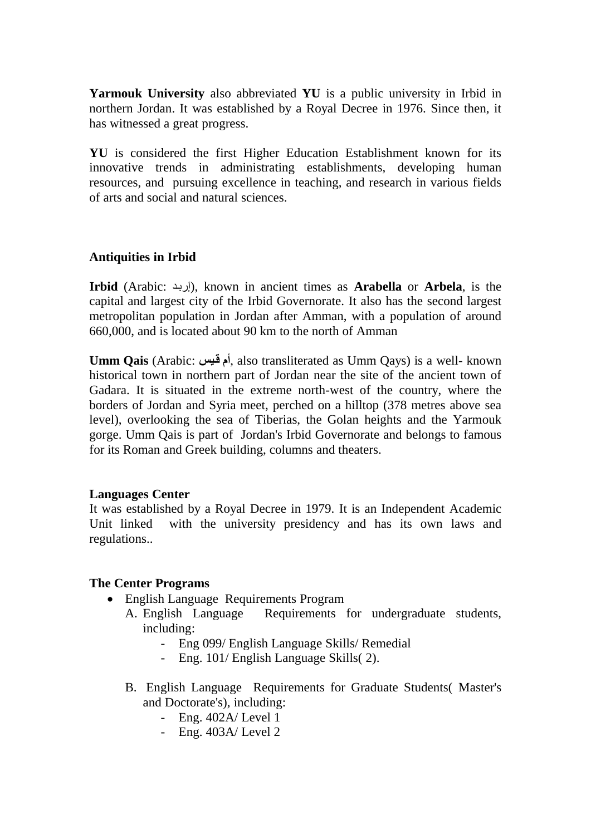**Yarmouk University** also abbreviated **YU** is a [public university](http://en.wikipedia.org/wiki/Public_university) in [Irbid](http://en.wikipedia.org/wiki/Irbid) in northern [Jordan.](http://en.wikipedia.org/wiki/Jordan) It was established by a Royal Decree in 1976. Since then, it has witnessed a great progress.

**YU** is considered the first Higher Education Establishment known for its innovative trends in administrating establishments, developing human resources, and pursuing excellence in teaching, and research in various fields of arts and social and natural sciences.

## **Antiquities in Irbid**

**Irbid** [\(Arabic:](http://en.wikipedia.org/wiki/Arabic_language) إربد), known in ancient times as **Arabella** or **Arbela**, is the capital and largest city of the [Irbid Governorate.](http://en.wikipedia.org/wiki/Irbid_Governorate) It also has the second largest metropolitan population in [Jordan](http://en.wikipedia.org/wiki/Jordan) after [Amman,](http://en.wikipedia.org/wiki/Amman) with a population of around 660,000, and is located about 90 km to the north of [Amman](http://en.wikipedia.org/wiki/Amman)

**Umm Qais** [\(Arabic:](http://en.wikipedia.org/wiki/Arabic_language) **قيس أم**, also transliterated as Umm Qays) is a well- known historical town in northern part of [Jordan](http://en.wikipedia.org/wiki/Jordan) near the site of the ancient town of Gadara. It is situated in the extreme north-west of the country, where the borders of Jordan and Syria meet, perched on a hilltop (378 metres above sea level), overlooking the sea of Tiberias, the Golan heights and the Yarmouk gorge. Umm Qais is part of Jordan's [Irbid Governorate](http://en.wikipedia.org/wiki/Irbid_Governorate) and belongs to famous for its Roman and Greek building, columns and theaters.

### **Languages Center**

It was established by a Royal Decree in 1979. It is an Independent Academic Unit linked with the university presidency and has its own laws and regulations..

### **The Center Programs**

- English Language Requirements Program
	- A. English Language Requirements for undergraduate students, including:
		- Eng 099/ English Language Skills/ Remedial
		- Eng. 101/ English Language Skills( 2).
	- B. English Language Requirements for Graduate Students( Master's and Doctorate's), including:
		- Eng. 402A/ Level 1
		- Eng. 403A/ Level 2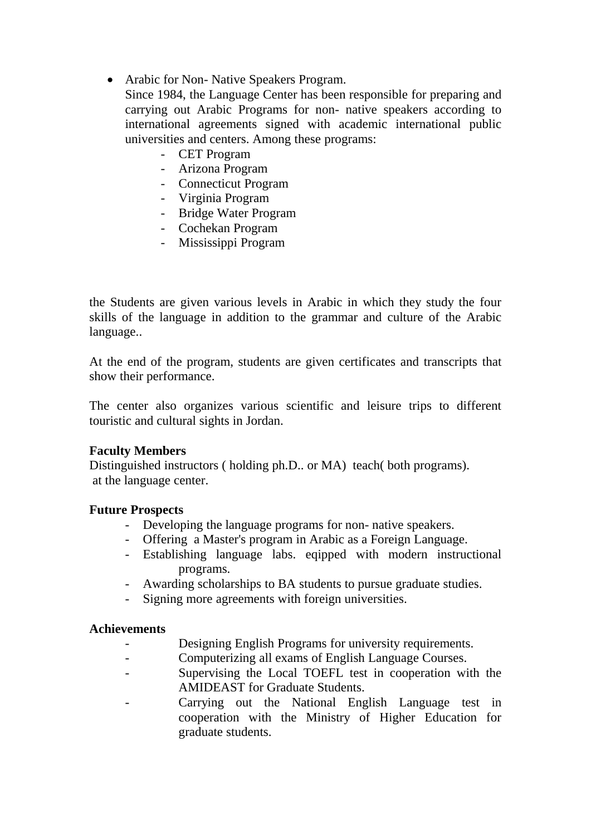- Arabic for Non- Native Speakers Program.
	- Since 1984, the Language Center has been responsible for preparing and carrying out Arabic Programs for non- native speakers according to international agreements signed with academic international public universities and centers. Among these programs:
		- CET Program
		- Arizona Program
		- Connecticut Program
		- Virginia Program
		- Bridge Water Program
		- Cochekan Program
		- Mississippi Program

the Students are given various levels in Arabic in which they study the four skills of the language in addition to the grammar and culture of the Arabic language..

At the end of the program, students are given certificates and transcripts that show their performance.

The center also organizes various scientific and leisure trips to different touristic and cultural sights in Jordan.

### **Faculty Members**

Distinguished instructors ( holding ph.D.. or MA) teach( both programs). at the language center.

### **Future Prospects**

- Developing the language programs for non- native speakers.
- Offering a Master's program in Arabic as a Foreign Language.
- Establishing language labs. eqipped with modern instructional programs.
- Awarding scholarships to BA students to pursue graduate studies.
- Signing more agreements with foreign universities.

### **Achievements**

- Designing English Programs for university requirements.
- Computerizing all exams of English Language Courses.
- Supervising the Local TOEFL test in cooperation with the AMIDEAST for Graduate Students.
- Carrying out the National English Language test in cooperation with the Ministry of Higher Education for graduate students.